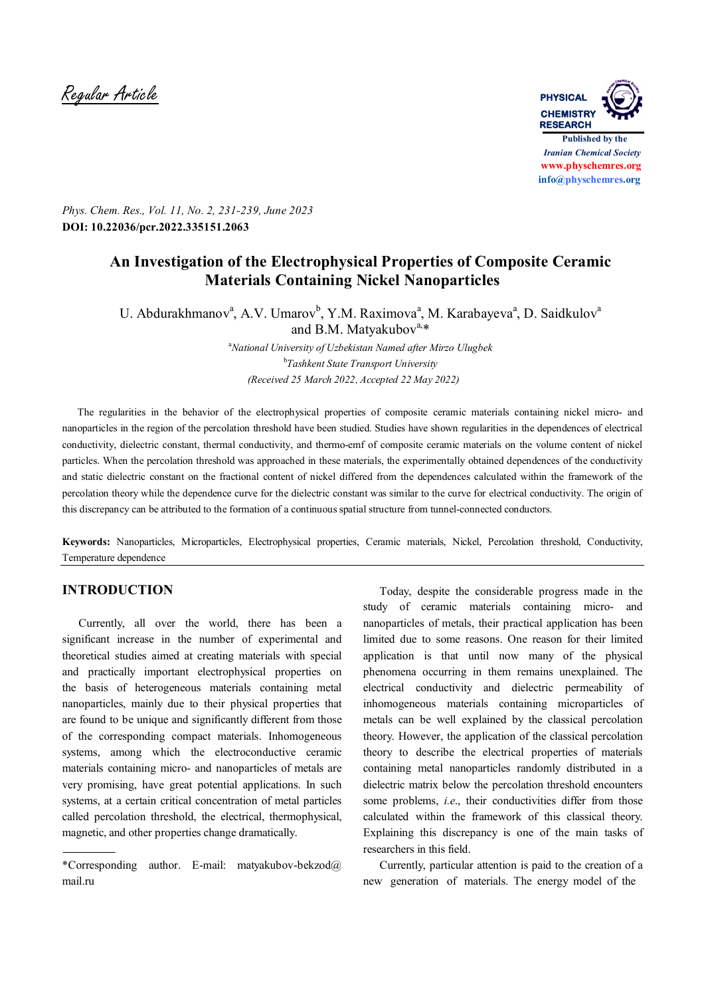Regular Article **PHYSICAL**



*Phys. Chem. Res., Vol. 11, No. 2, 231-239, June 2023* **DOI: 10.22036/pcr.2022.335151.2063**

# **An Investigation of the Electrophysical Properties of Composite Ceramic Materials Containing Nickel Nanoparticles**

U. Abdurakhmanov<sup>a</sup>, A.V. Umarov<sup>b</sup>, Y.M. Raximova<sup>a</sup>, M. Karabayeva<sup>a</sup>, D. Saidkulov<sup>a</sup> and B.M. Matyakubov $a, *$ 

> <sup>a</sup>*National University of Uzbekistan Named after Mirzo Ulugbek* b *Tashkent State Transport University (Received 25 March 2022, Accepted 22 May 2022)*

 The regularities in the behavior of the electrophysical properties of composite ceramic materials containing nickel micro- and nanoparticles in the region of the percolation threshold have been studied. Studies have shown regularities in the dependences of electrical conductivity, dielectric constant, thermal conductivity, and thermo-emf of composite ceramic materials on the volume content of nickel particles. When the percolation threshold was approached in these materials, the experimentally obtained dependences of the conductivity and static dielectric constant on the fractional content of nickel differed from the dependences calculated within the framework of the percolation theory while the dependence curve for the dielectric constant was similar to the curve for electrical conductivity. The origin of this discrepancy can be attributed to the formation of a continuous spatial structure from tunnel-connected conductors.

**Keywords:** Nanoparticles, Microparticles, Electrophysical properties, Ceramic materials, Nickel, Percolation threshold, Conductivity, Temperature dependence

### **INTRODUCTION**

 Currently, all over the world, there has been a significant increase in the number of experimental and theoretical studies aimed at creating materials with special and practically important electrophysical properties on the basis of heterogeneous materials containing metal nanoparticles, mainly due to their physical properties that are found to be unique and significantly different from those of the corresponding compact materials. Inhomogeneous systems, among which the electroconductive ceramic materials containing micro- and nanoparticles of metals are very promising, have great potential applications. In such systems, at a certain critical concentration of metal particles called percolation threshold, the electrical, thermophysical, magnetic, and other properties change dramatically.

 Today, despite the considerable progress made in the study of ceramic materials containing micro- and nanoparticles of metals, their practical application has been limited due to some reasons. One reason for their limited application is that until now many of the physical phenomena occurring in them remains unexplained. The electrical conductivity and dielectric permeability of inhomogeneous materials containing microparticles of metals can be well explained by the classical percolation theory. However, the application of the classical percolation theory to describe the electrical properties of materials containing metal nanoparticles randomly distributed in a dielectric matrix below the percolation threshold encounters some problems, *i.e.*, their conductivities differ from those calculated within the framework of this classical theory. Explaining this discrepancy is one of the main tasks of researchers in this field.

 Currently, particular attention is paid to the creation of a new generation of materials. The energy model of the

<sup>\*</sup>Corresponding author. E-mail: matyakubov-bekzod@ mail.ru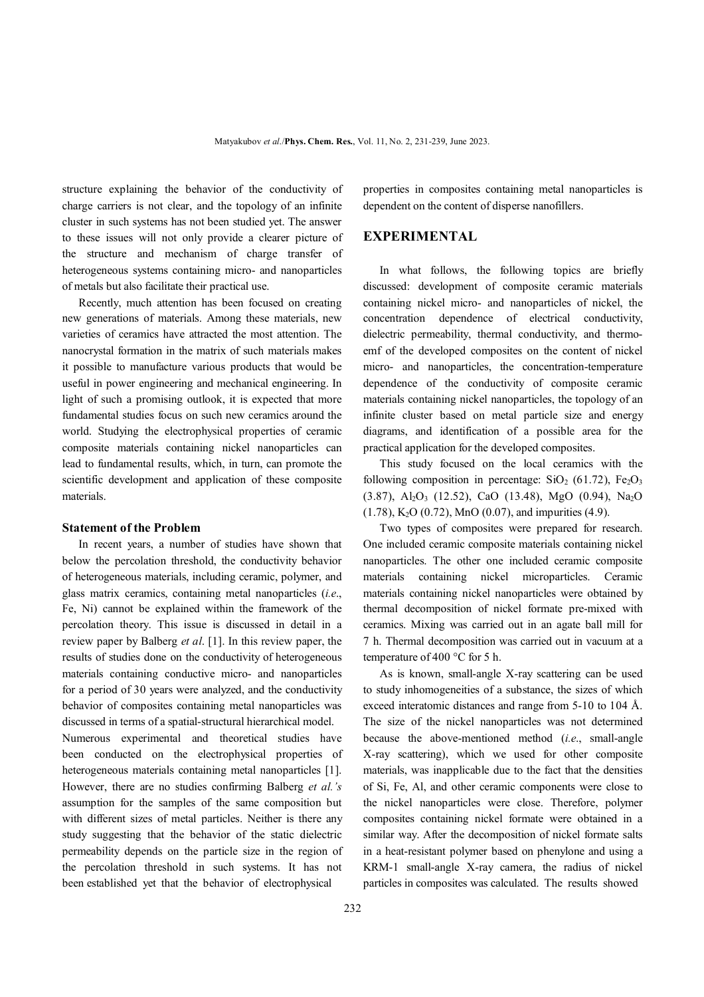structure explaining the behavior of the conductivity of charge carriers is not clear, and the topology of an infinite cluster in such systems has not been studied yet. The answer to these issues will not only provide a clearer picture of the structure and mechanism of charge transfer of heterogeneous systems containing micro- and nanoparticles of metals but also facilitate their practical use.

 Recently, much attention has been focused on creating new generations of materials. Among these materials, new varieties of ceramics have attracted the most attention. The nanocrystal formation in the matrix of such materials makes it possible to manufacture various products that would be useful in power engineering and mechanical engineering. In light of such a promising outlook, it is expected that more fundamental studies focus on such new ceramics around the world. Studying the electrophysical properties of ceramic composite materials containing nickel nanoparticles can lead to fundamental results, which, in turn, can promote the scientific development and application of these composite materials.

#### **Statement of the Problem**

 In recent years, a number of studies have shown that below the percolation threshold, the conductivity behavior of heterogeneous materials, including ceramic, polymer, and glass matrix ceramics, containing metal nanoparticles (*i.e*., Fe, Ni) cannot be explained within the framework of the percolation theory. This issue is discussed in detail in a review paper by Balberg *et al*. [1]. In this review paper, the results of studies done on the conductivity of heterogeneous materials containing conductive micro- and nanoparticles for a period of 30 years were analyzed, and the conductivity behavior of composites containing metal nanoparticles was discussed in terms of a spatial-structural hierarchical model. Numerous experimental and theoretical studies have been conducted on the electrophysical properties of heterogeneous materials containing metal nanoparticles [1]. However, there are no studies confirming Balberg *et al.'s* assumption for the samples of the same composition but with different sizes of metal particles. Neither is there any study suggesting that the behavior of the static dielectric permeability depends on the particle size in the region of the percolation threshold in such systems. It has not been established yet that the behavior of electrophysical

properties in composites containing metal nanoparticles is dependent on the content of disperse nanofillers.

#### **EXPERIMENTAL**

 In what follows, the following topics are briefly discussed: development of composite ceramic materials containing nickel micro- and nanoparticles of nickel, the concentration dependence of electrical conductivity, dielectric permeability, thermal conductivity, and thermoemf of the developed composites on the content of nickel micro- and nanoparticles, the concentration-temperature dependence of the conductivity of composite ceramic materials containing nickel nanoparticles, the topology of an infinite cluster based on metal particle size and energy diagrams, and identification of a possible area for the practical application for the developed composites.

 This study focused on the local ceramics with the following composition in percentage:  $SiO<sub>2</sub>$  (61.72), Fe<sub>2</sub>O<sub>3</sub>  $(3.87)$ , Al<sub>2</sub>O<sub>3</sub> (12.52), CaO (13.48), MgO (0.94), Na<sub>2</sub>O  $(1.78)$ , K<sub>2</sub>O  $(0.72)$ , MnO  $(0.07)$ , and impurities  $(4.9)$ .

 Two types of composites were prepared for research. One included ceramic composite materials containing nickel nanoparticles. The other one included ceramic composite materials containing nickel microparticles. Ceramic materials containing nickel nanoparticles were obtained by thermal decomposition of nickel formate pre-mixed with ceramics. Mixing was carried out in an agate ball mill for 7 h. Thermal decomposition was carried out in vacuum at a temperature of 400 °C for 5 h.

 As is known, small-angle X-ray scattering can be used to study inhomogeneities of a substance, the sizes of which exceed interatomic distances and range from 5-10 to 104 Å. The size of the nickel nanoparticles was not determined because the above-mentioned method (*i.e*., small-angle X-ray scattering), which we used for other composite materials, was inapplicable due to the fact that the densities of Si, Fe, Al, and other ceramic components were close to the nickel nanoparticles were close. Therefore, polymer composites containing nickel formate were obtained in a similar way. After the decomposition of nickel formate salts in a heat-resistant polymer based on phenylone and using a KRM-1 small-angle X-ray camera, the radius of nickel particles in composites was calculated. The results showed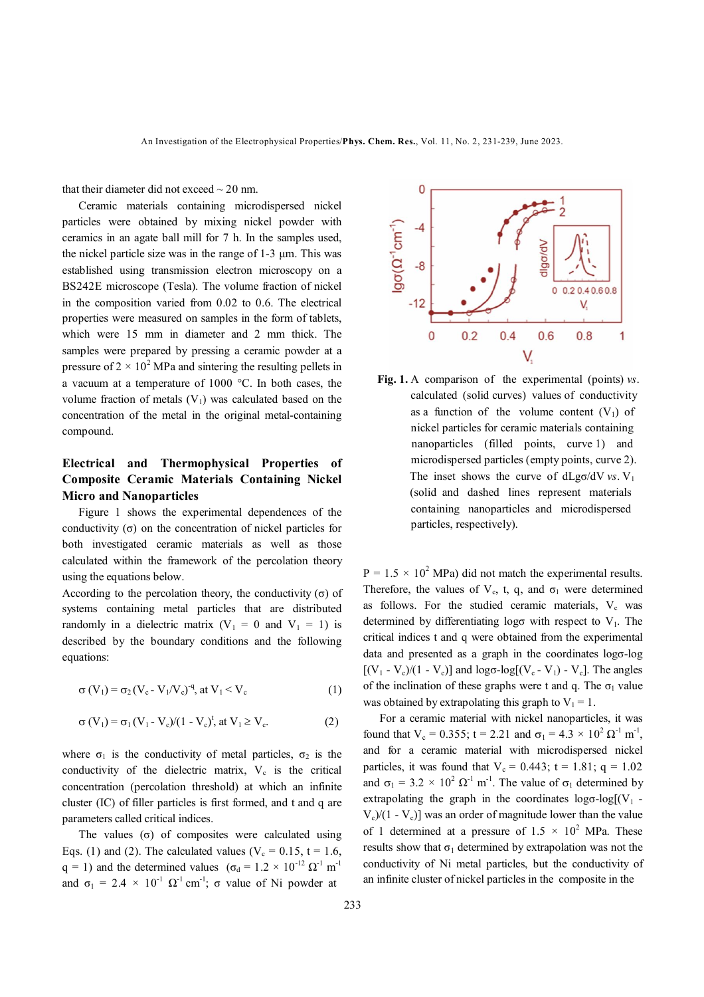that their diameter did not exceed  $\sim$  20 nm.

 Ceramic materials containing microdispersed nickel particles were obtained by mixing nickel powder with ceramics in an agate ball mill for 7 h. In the samples used, the nickel particle size was in the range of 1-3 μm. This was established using transmission electron microscopy on a BS242E microscope (Tesla). The volume fraction of nickel in the composition varied from 0.02 to 0.6. The electrical properties were measured on samples in the form of tablets, which were 15 mm in diameter and 2 mm thick. The samples were prepared by pressing a ceramic powder at a pressure of  $2 \times 10^2$  MPa and sintering the resulting pellets in a vacuum at a temperature of 1000 °C. In both cases, the volume fraction of metals  $(V_1)$  was calculated based on the concentration of the metal in the original metal-containing compound.

## **Electrical and Thermophysical Properties of Composite Ceramic Materials Containing Nickel Micro and Nanoparticles**

 Figure 1 shows the experimental dependences of the conductivity  $(σ)$  on the concentration of nickel particles for both investigated ceramic materials as well as those calculated within the framework of the percolation theory using the equations below.

According to the percolation theory, the conductivity  $(\sigma)$  of systems containing metal particles that are distributed randomly in a dielectric matrix  $(V_1 = 0$  and  $V_1 = 1)$  is described by the boundary conditions and the following equations:

$$
\sigma(V_1) = \sigma_2 (V_c - V_1 / V_c)^{-q}, \text{ at } V_1 < V_c \tag{1}
$$

$$
\sigma(V_1) = \sigma_1 (V_1 - V_c)/(1 - V_c)^t, \text{ at } V_1 \ge V_c. \tag{2}
$$

where  $\sigma_1$  is the conductivity of metal particles,  $\sigma_2$  is the conductivity of the dielectric matrix,  $V_c$  is the critical concentration (percolation threshold) at which an infinite cluster (IC) of filler particles is first formed, and t and q are parameters called critical indices.

The values  $(σ)$  of composites were calculated using Eqs. (1) and (2). The calculated values ( $V_c = 0.15$ , t = 1.6, q = 1) and the determined values  $(\sigma_d = 1.2 \times 10^{-12} \Omega^{-1} \text{ m}^{-1})$ and  $\sigma_1 = 2.4 \times 10^{-1} \Omega^{-1}$  cm<sup>-1</sup>;  $\sigma$  value of Ni powder at



 **Fig. 1.** A comparison of the experimental (points) *vs*. calculated (solid curves) values of conductivity as a function of the volume content  $(V_1)$  of nickel particles for ceramic materials containing nanoparticles (filled points, curve 1) and microdispersed particles (empty points, curve 2). The inset shows the curve of  $dLg\sigma/dV$  *vs*. V<sub>1</sub> (solid and dashed lines represent materials containing nanoparticles and microdispersed particles, respectively).

 $P = 1.5 \times 10^2$  MPa) did not match the experimental results. Therefore, the values of  $V_c$ , t, q, and  $\sigma_1$  were determined as follows. For the studied ceramic materials,  $V_c$  was determined by differentiating logo with respect to  $V_1$ . The critical indices t and q were obtained from the experimental data and presented as a graph in the coordinates logσ-log  $[(V_1 - V_c)/(1 - V_c)]$  and  $\log \sigma$ -log $[(V_c - V_1) - V_c]$ . The angles of the inclination of these graphs were t and q. The  $\sigma_1$  value was obtained by extrapolating this graph to  $V_1 = 1$ .

 For a ceramic material with nickel nanoparticles, it was found that  $V_c = 0.355$ ; t = 2.21 and  $\sigma_1 = 4.3 \times 10^2 \Omega^{-1} \text{ m}^{-1}$ , and for a ceramic material with microdispersed nickel particles, it was found that  $V_c = 0.443$ ; t = 1.81; q = 1.02 and  $\sigma_1 = 3.2 \times 10^2 \Omega^{-1} \text{ m}^{-1}$ . The value of  $\sigma_1$  determined by extrapolating the graph in the coordinates  $log\sigma$ -log[(V<sub>1</sub> - $V_c$ /(1 -  $V_c$ )] was an order of magnitude lower than the value of 1 determined at a pressure of  $1.5 \times 10^2$  MPa. These results show that  $\sigma_1$  determined by extrapolation was not the conductivity of Ni metal particles, but the conductivity of an infinite cluster of nickel particles in the composite in the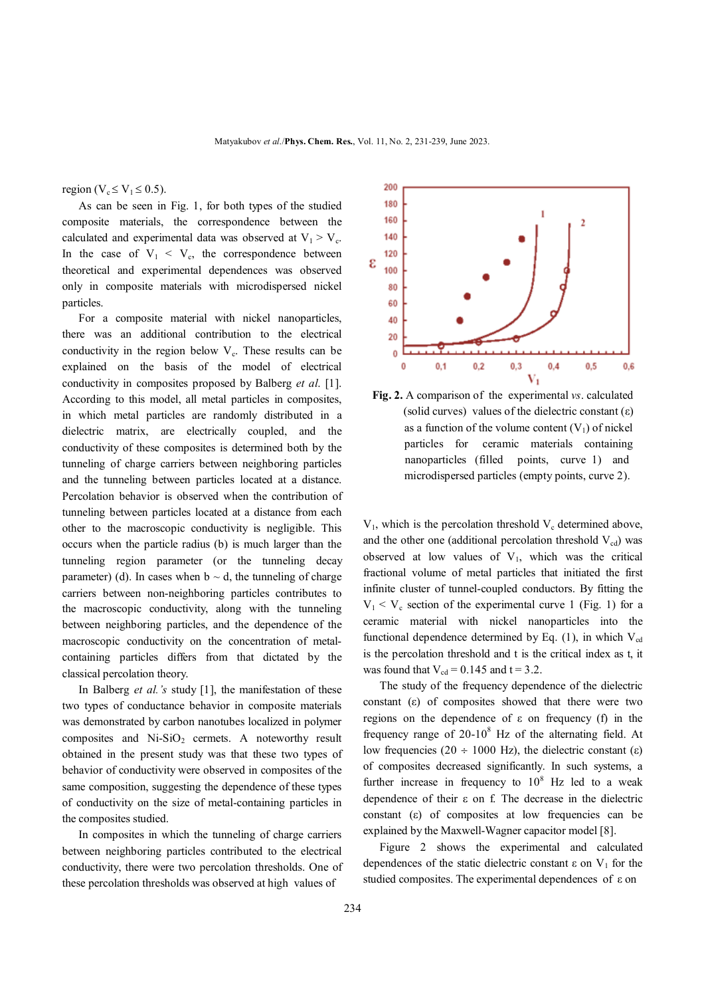region ( $V_c \le V_1 \le 0.5$ ).

 As can be seen in Fig. 1, for both types of the studied composite materials, the correspondence between the calculated and experimental data was observed at  $V_1 > V_c$ . In the case of  $V_1 < V_c$ , the correspondence between theoretical and experimental dependences was observed only in composite materials with microdispersed nickel particles.

 For a composite material with nickel nanoparticles, there was an additional contribution to the electrical conductivity in the region below  $V_c$ . These results can be explained on the basis of the model of electrical conductivity in composites proposed by Balberg *et al*. [1]. According to this model, all metal particles in composites, in which metal particles are randomly distributed in a dielectric matrix, are electrically coupled, and the conductivity of these composites is determined both by the tunneling of charge carriers between neighboring particles and the tunneling between particles located at a distance. Percolation behavior is observed when the contribution of tunneling between particles located at a distance from each other to the macroscopic conductivity is negligible. This occurs when the particle radius (b) is much larger than the tunneling region parameter (or the tunneling decay parameter) (d). In cases when  $b \sim d$ , the tunneling of charge carriers between non-neighboring particles contributes to the macroscopic conductivity, along with the tunneling between neighboring particles, and the dependence of the macroscopic conductivity on the concentration of metalcontaining particles differs from that dictated by the classical percolation theory.

 In Balberg *et al.'s* study [1], the manifestation of these two types of conductance behavior in composite materials was demonstrated by carbon nanotubes localized in polymer composites and  $Ni-SiO<sub>2</sub>$  cermets. A noteworthy result obtained in the present study was that these two types of behavior of conductivity were observed in composites of the same composition, suggesting the dependence of these types of conductivity on the size of metal-containing particles in the composites studied.

 In composites in which the tunneling of charge carriers between neighboring particles contributed to the electrical conductivity, there were two percolation thresholds. One of these percolation thresholds was observed at high values of



**Fig. 2.** A comparison of the experimental *vs*. calculated (solid curves) values of the dielectric constant  $(\epsilon)$ as a function of the volume content  $(V_1)$  of nickel particles for ceramic materials containing nanoparticles (filled points, curve 1) and microdispersed particles (empty points, curve 2).

 $V_1$ , which is the percolation threshold  $V_c$  determined above, and the other one (additional percolation threshold  $V_{cd}$ ) was observed at low values of  $V_1$ , which was the critical fractional volume of metal particles that initiated the first infinite cluster of tunnel-coupled conductors. By fitting the  $V_1 < V_c$  section of the experimental curve 1 (Fig. 1) for a ceramic material with nickel nanoparticles into the functional dependence determined by Eq.  $(1)$ , in which  $V_{cd}$ is the percolation threshold and t is the critical index as t, it was found that  $V_{cd} = 0.145$  and  $t = 3.2$ .

 The study of the frequency dependence of the dielectric constant  $(\varepsilon)$  of composites showed that there were two regions on the dependence of ε on frequency (f) in the frequency range of  $20-10^8$  Hz of the alternating field. At low frequencies (20  $\div$  1000 Hz), the dielectric constant ( $\varepsilon$ ) of composites decreased significantly. In such systems, a further increase in frequency to  $10^8$  Hz led to a weak dependence of their  $\varepsilon$  on f. The decrease in the dielectric constant  $(\epsilon)$  of composites at low frequencies can be explained by the Maxwell-Wagner capacitor model [8].

 Figure 2 shows the experimental and calculated dependences of the static dielectric constant  $\varepsilon$  on  $V_1$  for the studied composites. The experimental dependences of ε on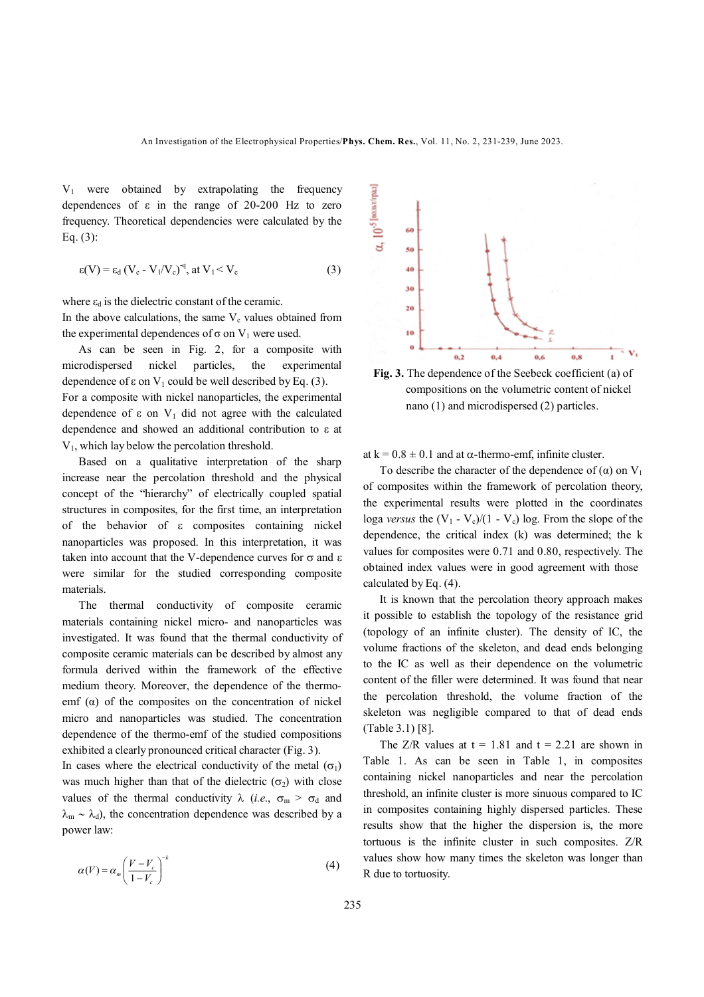V1 were obtained by extrapolating the frequency dependences of  $\varepsilon$  in the range of 20-200 Hz to zero frequency. Theoretical dependencies were calculated by the Eq. (3):

$$
\varepsilon(V) = \varepsilon_d (V_c - V_1/V_c)^{-q}, \text{ at } V_1 < V_c \tag{3}
$$

where  $\varepsilon_d$  is the dielectric constant of the ceramic.

In the above calculations, the same  $V_c$  values obtained from the experimental dependences of σ on  $V_1$  were used.

 As can be seen in Fig. 2, for a composite with microdispersed nickel particles, the experimental dependence of  $\varepsilon$  on  $V_1$  could be well described by Eq. (3). For a composite with nickel nanoparticles, the experimental dependence of  $\varepsilon$  on  $V_1$  did not agree with the calculated dependence and showed an additional contribution to ε at  $V_1$ , which lay below the percolation threshold.

 Based on a qualitative interpretation of the sharp increase near the percolation threshold and the physical concept of the "hierarchy" of electrically coupled spatial structures in composites, for the first time, an interpretation of the behavior of  $\varepsilon$  composites containing nickel nanoparticles was proposed. In this interpretation, it was taken into account that the V-dependence curves for  $\sigma$  and  $\varepsilon$ were similar for the studied corresponding composite materials.

 The thermal conductivity of composite ceramic materials containing nickel micro- and nanoparticles was investigated. It was found that the thermal conductivity of composite ceramic materials can be described by almost any formula derived within the framework of the effective medium theory. Moreover, the dependence of the thermoemf  $(\alpha)$  of the composites on the concentration of nickel micro and nanoparticles was studied. The concentration dependence of the thermo-emf of the studied compositions exhibited a clearly pronounced critical character (Fig. 3).

In cases where the electrical conductivity of the metal  $(\sigma_1)$ was much higher than that of the dielectric  $(\sigma_2)$  with close values of the thermal conductivity  $\lambda$  (*i.e.*,  $\sigma_m > \sigma_d$  and  $\lambda_{\rm m} \sim \lambda_{\rm d}$ , the concentration dependence was described by a power law:

$$
\alpha(V) = \alpha_m \left(\frac{V - V_c}{1 - V_c}\right)^{-k} \tag{4}
$$



**Fig. 3.** The dependence of the Seebeck coefficient (a) of compositions on the volumetric content of nickel nano (1) and microdispersed (2) particles.

at k =  $0.8 \pm 0.1$  and at  $\alpha$ -thermo-emf, infinite cluster.

To describe the character of the dependence of  $(\alpha)$  on  $V_1$ of composites within the framework of percolation theory, the experimental results were plotted in the coordinates loga *versus* the  $(V_1 - V_c)/(1 - V_c)$  log. From the slope of the dependence, the critical index (k) was determined; the k values for composites were 0.71 and 0.80, respectively. The obtained index values were in good agreement with those calculated by Eq. (4).

 It is known that the percolation theory approach makes it possible to establish the topology of the resistance grid (topology of an infinite cluster). The density of IC, the volume fractions of the skeleton, and dead ends belonging to the IC as well as their dependence on the volumetric content of the filler were determined. It was found that near the percolation threshold, the volume fraction of the skeleton was negligible compared to that of dead ends (Table 3.1) [8].

The  $Z/R$  values at  $t = 1.81$  and  $t = 2.21$  are shown in Table 1. As can be seen in Table 1, in composites containing nickel nanoparticles and near the percolation threshold, an infinite cluster is more sinuous compared to IC in composites containing highly dispersed particles. These results show that the higher the dispersion is, the more tortuous is the infinite cluster in such composites. Z/R values show how many times the skeleton was longer than R due to tortuosity.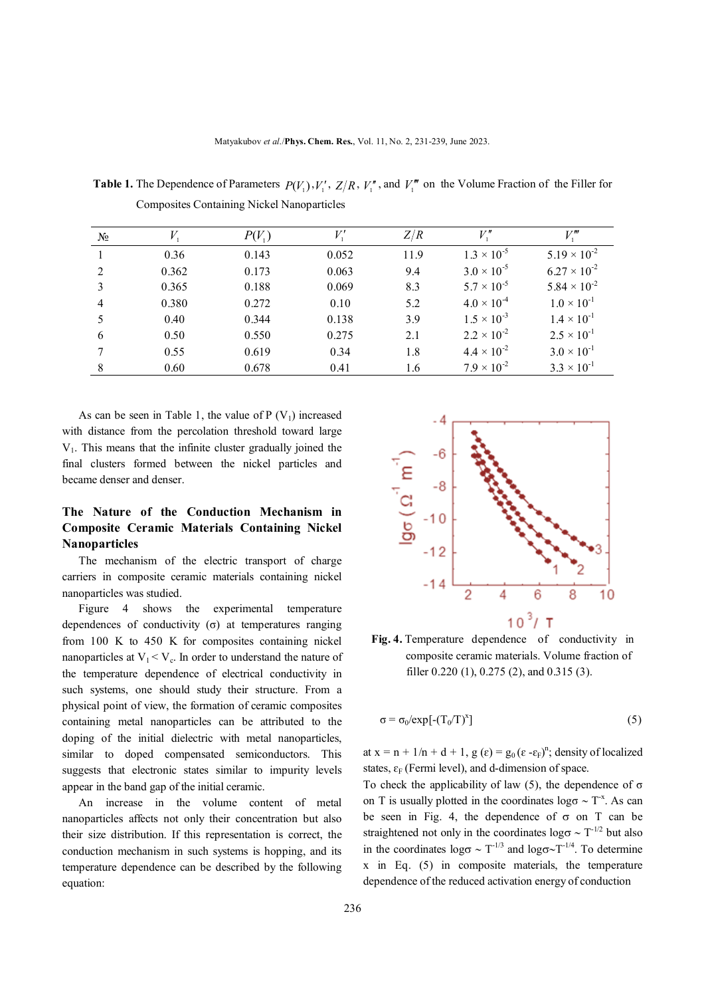| $N_2$          |       | $P(V_1)$ |       | Z/R  | $V$ ."               | V "                   |
|----------------|-------|----------|-------|------|----------------------|-----------------------|
|                | 0.36  | 0.143    | 0.052 | 11.9 | $1.3 \times 10^{-5}$ | $5.19 \times 10^{-2}$ |
| $\mathfrak{D}$ | 0.362 | 0.173    | 0.063 | 9.4  | $3.0 \times 10^{-5}$ | $6.27 \times 10^{-2}$ |
| 3              | 0.365 | 0.188    | 0.069 | 8.3  | $5.7 \times 10^{-5}$ | $5.84 \times 10^{-2}$ |
| $\overline{4}$ | 0.380 | 0.272    | 0.10  | 5.2  | $4.0 \times 10^{-4}$ | $1.0 \times 10^{-1}$  |
| 5              | 0.40  | 0.344    | 0.138 | 3.9  | $1.5 \times 10^{-3}$ | $1.4 \times 10^{-1}$  |
| 6              | 0.50  | 0.550    | 0.275 | 2.1  | $2.2 \times 10^{-2}$ | $2.5 \times 10^{-1}$  |
|                | 0.55  | 0.619    | 0.34  | 1.8  | $4.4 \times 10^{-2}$ | $3.0 \times 10^{-1}$  |
| 8              | 0.60  | 0.678    | 0.41  | 1.6  | $7.9 \times 10^{-2}$ | $3.3 \times 10^{-1}$  |

**Table 1.** The Dependence of Parameters  $P(V_1), V'_1, Z/R, V''_1$ , and  $V''_1$  on the Volume Fraction of the Filler for Composites Containing Nickel Nanoparticles

As can be seen in Table 1, the value of  $P(V_1)$  increased with distance from the percolation threshold toward large  $V<sub>1</sub>$ . This means that the infinite cluster gradually joined the final clusters formed between the nickel particles and became denser and denser.

## **The Nature of the Conduction Mechanism in Composite Ceramic Materials Containing Nickel Nanoparticles**

 The mechanism of the electric transport of charge carriers in composite ceramic materials containing nickel nanoparticles was studied.

 Figure 4 shows the experimental temperature dependences of conductivity (σ) at temperatures ranging from 100 K to 450 K for composites containing nickel nanoparticles at  $V_1 < V_c$ . In order to understand the nature of the temperature dependence of electrical conductivity in such systems, one should study their structure. From a physical point of view, the formation of ceramic composites containing metal nanoparticles can be attributed to the doping of the initial dielectric with metal nanoparticles, similar to doped compensated semiconductors. This suggests that electronic states similar to impurity levels appear in the band gap of the initial ceramic.

 An increase in the volume content of metal nanoparticles affects not only their concentration but also their size distribution. If this representation is correct, the conduction mechanism in such systems is hopping, and its temperature dependence can be described by the following equation:



**Fig. 4.** Temperature dependence of conductivity in composite ceramic materials. Volume fraction of filler 0.220 (1), 0.275 (2), and 0.315 (3).

$$
\sigma = \sigma_0 / \exp[-(T_0/T)^x]
$$
 (5)

at  $x = n + 1/n + d + 1$ ,  $g(\varepsilon) = g_0(\varepsilon - \varepsilon_F)^n$ ; density of localized states,  $\varepsilon_F$  (Fermi level), and d-dimension of space.

To check the applicability of law (5), the dependence of  $\sigma$ on T is usually plotted in the coordinates  $\log \sigma \sim T^*$ . As can be seen in Fig. 4, the dependence of  $\sigma$  on T can be straightened not only in the coordinates  $\log \sigma \sim T^{-1/2}$  but also in the coordinates  $\log \sigma \sim T^{-1/3}$  and  $\log \sigma \sim T^{-1/4}$ . To determine x in Eq. (5) in composite materials, the temperature dependence of the reduced activation energy of conduction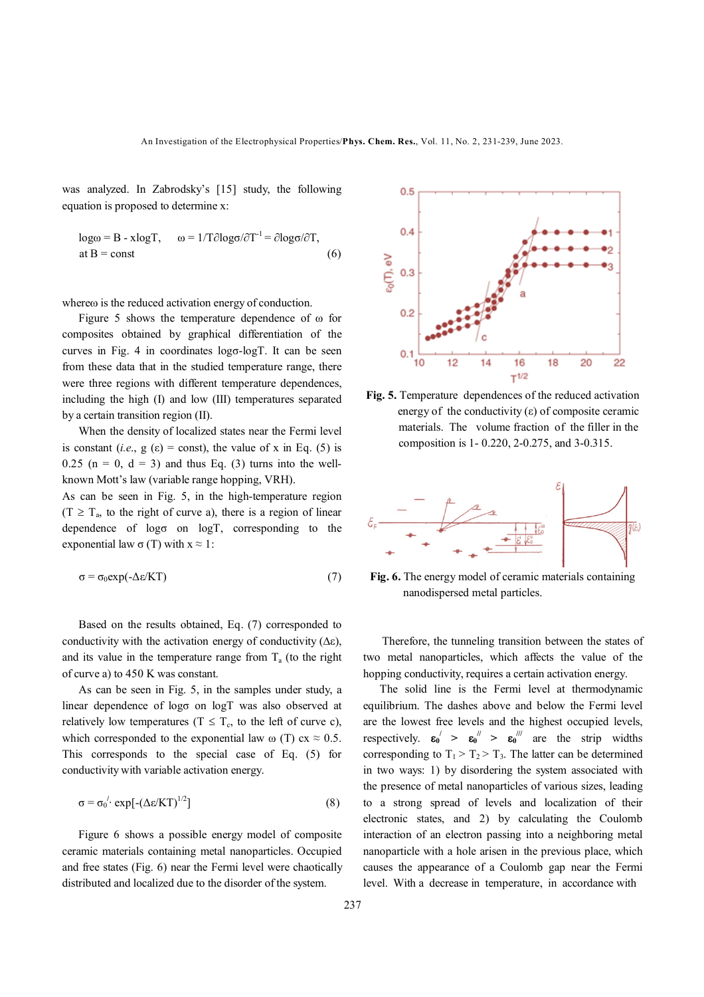was analyzed. In Zabrodsky's [15] study, the following equation is proposed to determine x:

$$
log\omega = B - xlogT, \qquad \omega = 1/T \partial log\sigma / \partial T^{-1} = \partial log\sigma / \partial T,
$$
  
at B = const (6)

where is the reduced activation energy of conduction.

 Figure 5 shows the temperature dependence of ω for composites obtained by graphical differentiation of the curves in Fig. 4 in coordinates logσ-logТ. It can be seen from these data that in the studied temperature range, there were three regions with different temperature dependences, including the high (I) and low (III) temperatures separated by a certain transition region (II).

 When the density of localized states near the Fermi level is constant (*i.e.*,  $g(\varepsilon) = \text{const}$ ), the value of x in Eq. (5) is  $0.25$  (n = 0, d = 3) and thus Eq. (3) turns into the wellknown Mott's law (variable range hopping, VRH).

As can be seen in Fig. 5, in the high-temperature region  $(T \geq T_a)$ , to the right of curve a), there is a region of linear dependence of  $log\sigma$  on  $logT$ , corresponding to the exponential law  $\sigma(T)$  with  $x \approx 1$ :

$$
\sigma = \sigma_0 \exp(-\Delta \varepsilon / KT) \tag{7}
$$

 Based on the results obtained, Eq. (7) corresponded to conductivity with the activation energy of conductivity  $(\Delta \varepsilon)$ , and its value in the temperature range from  $T_a$  (to the right of curve a) to 450 K was constant.

 As can be seen in Fig. 5, in the samples under study, a linear dependence of logσ on logТ was also observed at relatively low temperatures ( $T \leq T_c$ , to the left of curve c), which corresponded to the exponential law  $\omega$  (T) cx  $\approx 0.5$ . This corresponds to the special case of Eq. (5) for conductivity with variable activation energy.

$$
\sigma = \sigma_0^{1} \cdot \exp[-(\Delta \varepsilon / KT)^{1/2}] \tag{8}
$$

Figure 6 shows a possible energy model of composite ceramic materials containing metal nanoparticles. Occupied and free states (Fig. 6) near the Fermi level were chaotically distributed and localized due to the disorder of the system.



**Fig. 5.** Temperature dependences of the reduced activation energy of the conductivity  $(\varepsilon)$  of composite ceramic materials. The volume fraction of the filler in the composition is 1- 0.220, 2-0.275, and 3-0.315.



**Fig. 6.** The energy model of ceramic materials containing nanodispersed metal particles.

 Therefore, the tunneling transition between the states of two metal nanoparticles, which affects the value of the hopping conductivity, requires a certain activation energy.

 The solid line is the Fermi level at thermodynamic equilibrium. The dashes above and below the Fermi level are the lowest free levels and the highest occupied levels, respectively.  $\epsilon_0' > \epsilon_0'' > \epsilon_0'''$  are the strip widths corresponding to  $T_1 > T_2 > T_3$ . The latter can be determined in two ways: 1) by disordering the system associated with the presence of metal nanoparticles of various sizes, leading to a strong spread of levels and localization of their electronic states, and 2) by calculating the Coulomb interaction of an electron passing into a neighboring metal nanoparticle with a hole arisen in the previous place, which causes the appearance of a Coulomb gap near the Fermi level. With a decrease in temperature, in accordance with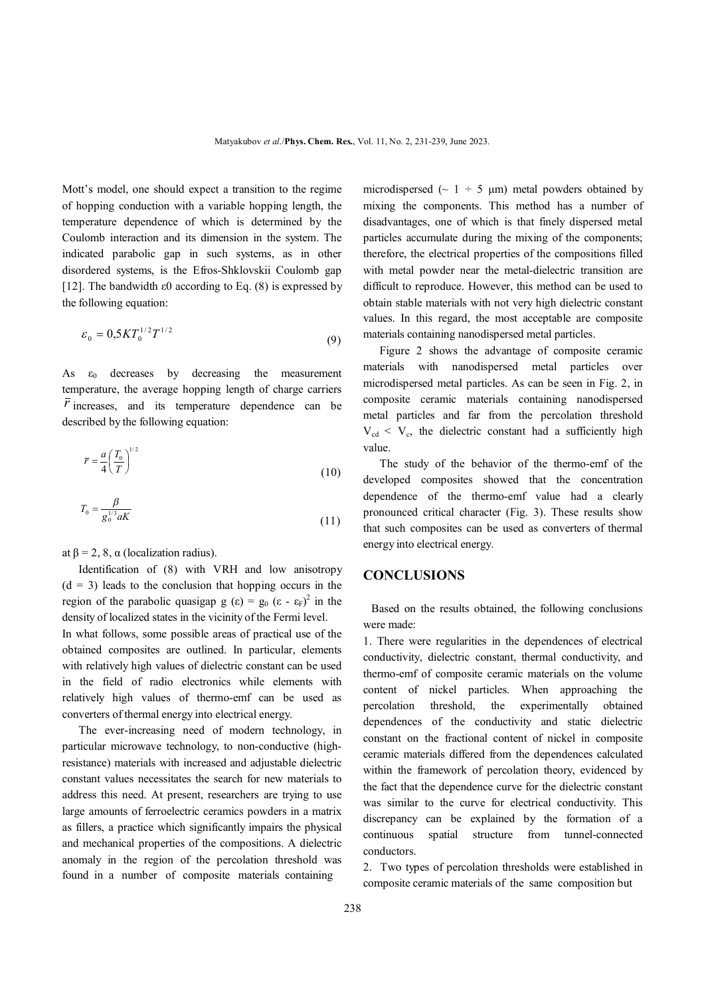Mott's model, one should expect a transition to the regime of hopping conduction with a variable hopping length, the temperature dependence of which is determined by the Coulomb interaction and its dimension in the system. The indicated parabolic gap in such systems, as in other disordered systems, is the Efros-Shklovskii Coulomb gap [12]. The bandwidth  $\varepsilon$ 0 according to Eq. (8) is expressed by the following equation:

$$
\varepsilon_0 = 0.5 K T_0^{1/2} T^{1/2} \tag{9}
$$

As  $\varepsilon_0$  decreases by decreasing the measurement temperature, the average hopping length of charge carriers  $\bar{r}$  increases, and its temperature dependence can be described by the following equation:

$$
\overline{r} = \frac{a}{4} \left(\frac{T_0}{T}\right)^{1/2} \tag{10}
$$

$$
T_0 = \frac{\beta}{g_0^{1/3} aK} \tag{11}
$$

at  $\beta = 2$ , 8,  $\alpha$  (localization radius).

 Identification of (8) with VRH and low anisotropy  $(d = 3)$  leads to the conclusion that hopping occurs in the region of the parabolic quasigap  $g(\epsilon) = g_0 (\epsilon - \epsilon_F)^2$  in the density of localized states in the vicinity of the Fermi level.

In what follows, some possible areas of practical use of the obtained composites are outlined. In particular, elements with relatively high values of dielectric constant can be used in the field of radio electronics while elements with relatively high values of thermo-emf can be used as converters of thermal energy into electrical energy.

 The ever-increasing need of modern technology, in particular microwave technology, to non-conductive (highresistance) materials with increased and adjustable dielectric constant values necessitates the search for new materials to address this need. At present, researchers are trying to use large amounts of ferroelectric ceramics powders in a matrix as fillers, a practice which significantly impairs the physical and mechanical properties of the compositions. A dielectric anomaly in the region of the percolation threshold was found in a number of composite materials containing

microdispersed ( $\sim 1 \div 5$  μm) metal powders obtained by mixing the components. This method has a number of disadvantages, one of which is that finely dispersed metal particles accumulate during the mixing of the components; therefore, the electrical properties of the compositions filled with metal powder near the metal-dielectric transition are difficult to reproduce. However, this method can be used to obtain stable materials with not very high dielectric constant values. In this regard, the most acceptable are composite materials containing nanodispersed metal particles.

 Figure 2 shows the advantage of composite ceramic materials with nanodispersed metal particles over microdispersed metal particles. As can be seen in Fig. 2, in composite ceramic materials containing nanodispersed metal particles and far from the percolation threshold  $V_{\text{cd}} < V_{\text{c}}$ , the dielectric constant had a sufficiently high value.

 The study of the behavior of the thermo-emf of the developed composites showed that the concentration dependence of the thermo-emf value had a clearly pronounced critical character (Fig. 3). These results show that such composites can be used as converters of thermal energy into electrical energy.

#### **CONCLUSIONS**

Based on the results obtained, the following conclusions were made:

1. There were regularities in the dependences of electrical conductivity, dielectric constant, thermal conductivity, and thermo-emf of composite ceramic materials on the volume content of nickel particles. When approaching the percolation threshold, the experimentally obtained dependences of the conductivity and static dielectric constant on the fractional content of nickel in composite ceramic materials differed from the dependences calculated within the framework of percolation theory, evidenced by the fact that the dependence curve for the dielectric constant was similar to the curve for electrical conductivity. This discrepancy can be explained by the formation of a continuous spatial structure from tunnel-connected conductors.

2. Two types of percolation thresholds were established in composite ceramic materials of the same composition but